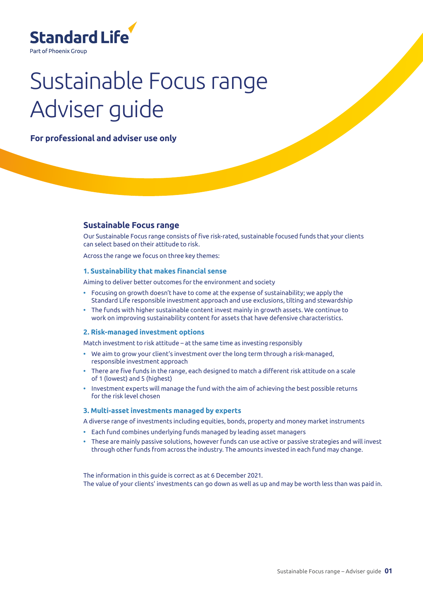

# Sustainable Focus range Adviser guide

**For professional and adviser use only**

## **Sustainable Focus range**

Our Sustainable Focus range consists of five risk-rated, sustainable focused funds that your clients can select based on their attitude to risk.

Across the range we focus on three key themes:

#### **1. Sustainability that makes financial sense**

Aiming to deliver better outcomes for the environment and society

- **•** Focusing on growth doesn't have to come at the expense of sustainability; we apply the Standard Life responsible investment approach and use exclusions, tilting and stewardship
- **•** The funds with higher sustainable content invest mainly in growth assets. We continue to work on improving sustainability content for assets that have defensive characteristics.

#### **2. Risk-managed investment options**

Match investment to risk attitude – at the same time as investing responsibly

- **•** We aim to grow your client's investment over the long term through a risk-managed, responsible investment approach
- **•** There are five funds in the range, each designed to match a different risk attitude on a scale of 1 (lowest) and 5 (highest)
- **•** Investment experts will manage the fund with the aim of achieving the best possible returns for the risk level chosen

#### **3. Multi-asset investments managed by experts**

A diverse range of investments including equities, bonds, property and money market instruments

- **•** Each fund combines underlying funds managed by leading asset managers
- **•** These are mainly passive solutions, however funds can use active or passive strategies and will invest through other funds from across the industry. The amounts invested in each fund may change.

The information in this guide is correct as at 6 December 2021. The value of your clients' investments can go down as well as up and may be worth less than was paid in.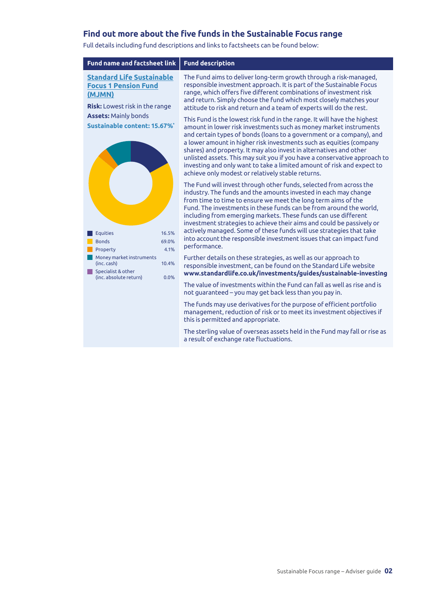# **Find out more about the five funds in the Sustainable Focus range**

**Fund name and factsheet link Fund description [Standard Life Sustainable](http://library.adviserzone.com/mjmn.pdf) [Focus 1 Pension Fund](http://library.adviserzone.com/mjmn.pdf) [\(MJMN\)](http://library.adviserzone.com/mjmn.pdf) Risk:** Lowest risk in the range **Assets:** Mainly bonds **Sustainable content: 15.67%\*** The Fund aims to deliver long-term growth through a risk-managed, responsible investment approach. It is part of the Sustainable Focus range, which offers five different combinations of investment risk and return. Simply choose the fund which most closely matches your attitude to risk and return and a team of experts will do the rest. This Fund is the lowest risk fund in the range. It will have the highest amount in lower risk investments such as money market instruments and certain types of bonds (loans to a government or a company), and a lower amount in higher risk investments such as equities (company shares) and property. It may also invest in alternatives and other unlisted assets. This may suit you if you have a conservative approach to investing and only want to take a limited amount of risk and expect to achieve only modest or relatively stable returns.

> The Fund will invest through other funds, selected from across the industry. The funds and the amounts invested in each may change from time to time to ensure we meet the long term aims of the Fund. The investments in these funds can be from around the world, including from emerging markets. These funds can use different investment strategies to achieve their aims and could be passively or actively managed. Some of these funds will use strategies that take into account the responsible investment issues that can impact fund performance.

Further details on these strategies, as well as our approach to responsible investment, can be found on the Standard Life website **www.standardlife.co.uk/investments/guides/sustainable-investing**

The value of investments within the Fund can fall as well as rise and is not guaranteed – you may get back less than you pay in.

The funds may use derivatives for the purpose of efficient portfolio management, reduction of risk or to meet its investment objectives if this is permitted and appropriate.

The sterling value of overseas assets held in the Fund may fall or rise as a result of exchange rate fluctuations.

Full details including fund descriptions and links to factsheets can be found below:

 Equities 16.5% Bonds 69.0% Property 4.1% Money market instruments  $(inc \, cash)$  10.4%

 $(inc, absolute return)$  0.0%

Specialist & other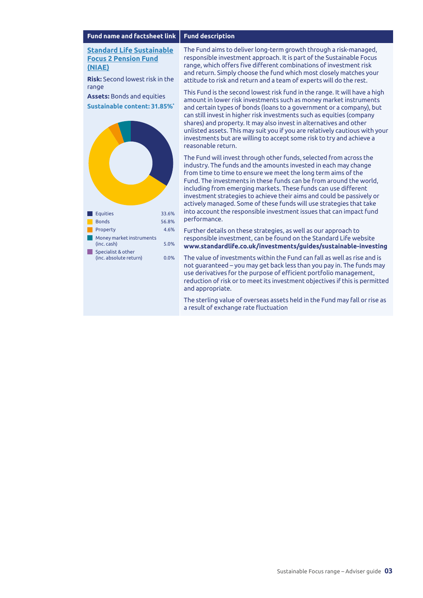**[Standard Life Sustainable](http://library.adviserzone.com/niae.pdf) [Focus 2 Pension Fund](http://library.adviserzone.com/niae.pdf) [\(NIAE\)](http://library.adviserzone.com/niae.pdf)**

**Risk:** Second lowest risk in the range

**Assets:** Bonds and equities **Sustainable content: 31.85%\***



The Fund aims to deliver long-term growth through a risk-managed, responsible investment approach. It is part of the Sustainable Focus range, which offers five different combinations of investment risk and return. Simply choose the fund which most closely matches your attitude to risk and return and a team of experts will do the rest.

This Fund is the second lowest risk fund in the range. It will have a high amount in lower risk investments such as money market instruments and certain types of bonds (loans to a government or a company), but can still invest in higher risk investments such as equities (company shares) and property. It may also invest in alternatives and other unlisted assets. This may suit you if you are relatively cautious with your investments but are willing to accept some risk to try and achieve a reasonable return.

The Fund will invest through other funds, selected from across the industry. The funds and the amounts invested in each may change from time to time to ensure we meet the long term aims of the Fund. The investments in these funds can be from around the world, including from emerging markets. These funds can use different investment strategies to achieve their aims and could be passively or actively managed. Some of these funds will use strategies that take into account the responsible investment issues that can impact fund performance.

Further details on these strategies, as well as our approach to responsible investment, can be found on the Standard Life website **www.standardlife.co.uk/investments/guides/sustainable-investing** 

The value of investments within the Fund can fall as well as rise and is not guaranteed – you may get back less than you pay in. The funds may use derivatives for the purpose of efficient portfolio management, reduction of risk or to meet its investment objectives if this is permitted and appropriate.

The sterling value of overseas assets held in the Fund may fall or rise as a result of exchange rate fluctuation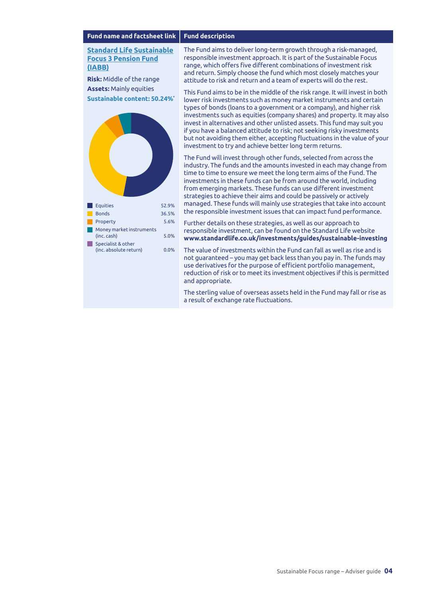**[Standard Life Sustainable](http://library.adviserzone.com/iabb.pdf) [Focus 3 Pension Fund](http://library.adviserzone.com/iabb.pdf) [\(IABB\)](http://library.adviserzone.com/iabb.pdf)**

**Risk:** Middle of the range **Assets:** Mainly equities **Sustainable content: 50.24%\***



The Fund aims to deliver long-term growth through a risk-managed, responsible investment approach. It is part of the Sustainable Focus range, which offers five different combinations of investment risk and return. Simply choose the fund which most closely matches your attitude to risk and return and a team of experts will do the rest.

This Fund aims to be in the middle of the risk range. It will invest in both lower risk investments such as money market instruments and certain types of bonds (loans to a government or a company), and higher risk investments such as equities (company shares) and property. It may also invest in alternatives and other unlisted assets. This fund may suit you if you have a balanced attitude to risk; not seeking risky investments but not avoiding them either, accepting fluctuations in the value of your investment to try and achieve better long term returns.

The Fund will invest through other funds, selected from across the industry. The funds and the amounts invested in each may change from time to time to ensure we meet the long term aims of the Fund. The investments in these funds can be from around the world, including from emerging markets. These funds can use different investment strategies to achieve their aims and could be passively or actively managed. These funds will mainly use strategies that take into account the responsible investment issues that can impact fund performance.

Further details on these strategies, as well as our approach to responsible investment, can be found on the Standard Life website **www.standardlife.co.uk/investments/guides/sustainable-investing** 

The value of investments within the Fund can fall as well as rise and is not guaranteed – you may get back less than you pay in. The funds may use derivatives for the purpose of efficient portfolio management, reduction of risk or to meet its investment objectives if this is permitted and appropriate.

The sterling value of overseas assets held in the Fund may fall or rise as a result of exchange rate fluctuations.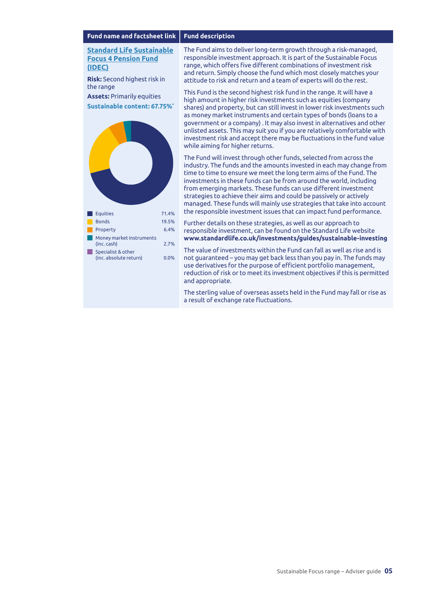**[Standard Life Sustainable](http://library.adviserzone.com/idec.pdf) [Focus 4 Pension Fund](http://library.adviserzone.com/idec.pdf) [\(IDEC\)](http://library.adviserzone.com/idec.pdf)**

**Risk:** Second highest risk in the range

**Assets:** Primarily equities **Sustainable content: 67.75%\***



The Fund aims to deliver long-term growth through a risk-managed, responsible investment approach. It is part of the Sustainable Focus range, which offers five different combinations of investment risk and return. Simply choose the fund which most closely matches your attitude to risk and return and a team of experts will do the rest.

This Fund is the second highest risk fund in the range. It will have a high amount in higher risk investments such as equities (company shares) and property, but can still invest in lower risk investments such as money market instruments and certain types of bonds (loans to a government or a company) . It may also invest in alternatives and other unlisted assets. This may suit you if you are relatively comfortable with investment risk and accept there may be fluctuations in the fund value while aiming for higher returns.

The Fund will invest through other funds, selected from across the industry. The funds and the amounts invested in each may change from time to time to ensure we meet the long term aims of the Fund. The investments in these funds can be from around the world, including from emerging markets. These funds can use different investment strategies to achieve their aims and could be passively or actively managed. These funds will mainly use strategies that take into account the responsible investment issues that can impact fund performance.

Further details on these strategies, as well as our approach to responsible investment, can be found on the Standard Life website **www.standardlife.co.uk/investments/guides/sustainable-investing**

The value of investments within the Fund can fall as well as rise and is not guaranteed – you may get back less than you pay in. The funds may use derivatives for the purpose of efficient portfolio management, reduction of risk or to meet its investment objectives if this is permitted and appropriate.

The sterling value of overseas assets held in the Fund may fall or rise as a result of exchange rate fluctuations.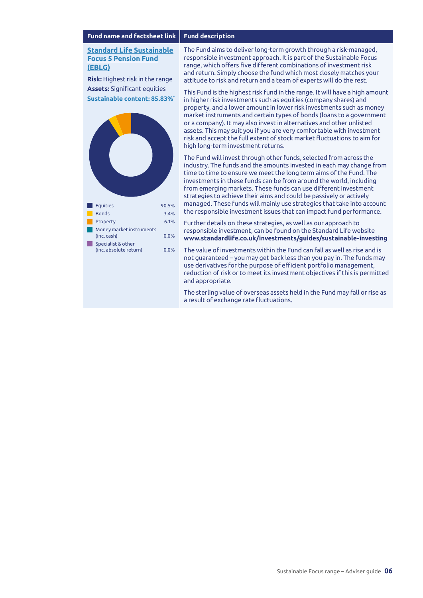#### **[Standard Life Sustainable](http://library.adviserzone.com/eblg.pdf) [Focus 5 Pension Fund](http://library.adviserzone.com/eblg.pdf) [\(EBLG\)](http://library.adviserzone.com/eblg.pdf)**

**Risk:** Highest risk in the range **Assets:** Significant equities **Sustainable content: 85.83%\***



The Fund aims to deliver long-term growth through a risk-managed, responsible investment approach. It is part of the Sustainable Focus range, which offers five different combinations of investment risk and return. Simply choose the fund which most closely matches your attitude to risk and return and a team of experts will do the rest.

This Fund is the highest risk fund in the range. It will have a high amount in higher risk investments such as equities (company shares) and property, and a lower amount in lower risk investments such as money market instruments and certain types of bonds (loans to a government or a company). It may also invest in alternatives and other unlisted assets. This may suit you if you are very comfortable with investment risk and accept the full extent of stock market fluctuations to aim for high long-term investment returns.

The Fund will invest through other funds, selected from across the industry. The funds and the amounts invested in each may change from time to time to ensure we meet the long term aims of the Fund. The investments in these funds can be from around the world, including from emerging markets. These funds can use different investment strategies to achieve their aims and could be passively or actively managed. These funds will mainly use strategies that take into account the responsible investment issues that can impact fund performance.

Further details on these strategies, as well as our approach to responsible investment, can be found on the Standard Life website **www.standardlife.co.uk/investments/guides/sustainable-investing**

The value of investments within the Fund can fall as well as rise and is not guaranteed – you may get back less than you pay in. The funds may use derivatives for the purpose of efficient portfolio management, reduction of risk or to meet its investment objectives if this is permitted and appropriate.

The sterling value of overseas assets held in the Fund may fall or rise as a result of exchange rate fluctuations.